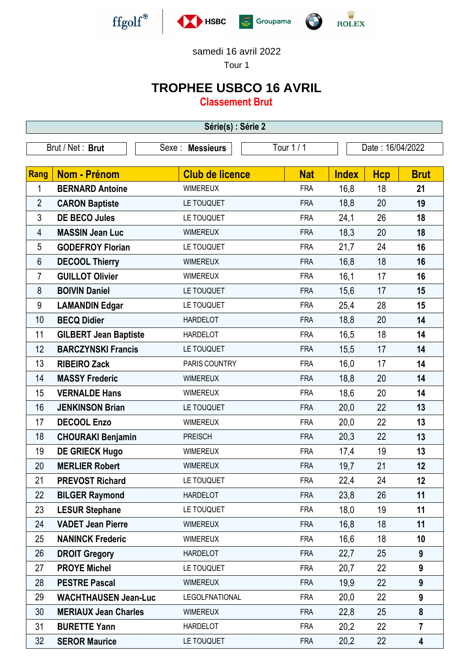

samedi 16 avril 2022

Tour 1

## **TROPHEE USBCO 16 AVRIL**

**Classement Brut**

| Série(s) : Série 2 |                              |                        |            |                  |            |                  |  |  |  |
|--------------------|------------------------------|------------------------|------------|------------------|------------|------------------|--|--|--|
| Brut / Net: Brut   |                              | Sexe : Messieurs       | Tour 1 / 1 | Date: 16/04/2022 |            |                  |  |  |  |
|                    |                              |                        |            |                  |            |                  |  |  |  |
| <b>Rang</b>        | <b>Nom - Prénom</b>          | <b>Club de licence</b> | <b>Nat</b> | <b>Index</b>     | <b>Hcp</b> | <b>Brut</b>      |  |  |  |
| 1                  | <b>BERNARD Antoine</b>       | <b>WIMEREUX</b>        | <b>FRA</b> | 16,8             | 18         | 21               |  |  |  |
| $\overline{2}$     | <b>CARON Baptiste</b>        | LE TOUQUET             | <b>FRA</b> | 18,8             | 20         | 19               |  |  |  |
| 3                  | <b>DE BECO Jules</b>         | LE TOUQUET             | <b>FRA</b> | 24,1             | 26         | 18               |  |  |  |
| 4                  | <b>MASSIN Jean Luc</b>       | <b>WIMEREUX</b>        | <b>FRA</b> | 18,3             | 20         | 18               |  |  |  |
| 5                  | <b>GODEFROY Florian</b>      | LE TOUQUET             | <b>FRA</b> | 21,7             | 24         | 16               |  |  |  |
| 6                  | <b>DECOOL Thierry</b>        | <b>WIMEREUX</b>        | <b>FRA</b> | 16,8             | 18         | 16               |  |  |  |
| 7                  | <b>GUILLOT Olivier</b>       | <b>WIMEREUX</b>        | <b>FRA</b> | 16,1             | 17         | 16               |  |  |  |
| 8                  | <b>BOIVIN Daniel</b>         | LE TOUQUET             | <b>FRA</b> | 15,6             | 17         | 15               |  |  |  |
| 9                  | <b>LAMANDIN Edgar</b>        | LE TOUQUET             | <b>FRA</b> | 25,4             | 28         | 15               |  |  |  |
| 10                 | <b>BECQ Didier</b>           | <b>HARDELOT</b>        | <b>FRA</b> | 18,8             | 20         | 14               |  |  |  |
| 11                 | <b>GILBERT Jean Baptiste</b> | <b>HARDELOT</b>        | <b>FRA</b> | 16,5             | 18         | 14               |  |  |  |
| 12                 | <b>BARCZYNSKI Francis</b>    | LE TOUQUET             | <b>FRA</b> | 15,5             | 17         | 14               |  |  |  |
| 13                 | <b>RIBEIRO Zack</b>          | PARIS COUNTRY          | <b>FRA</b> | 16,0             | 17         | 14               |  |  |  |
| 14                 | <b>MASSY Frederic</b>        | <b>WIMEREUX</b>        | <b>FRA</b> | 18,8             | 20         | 14               |  |  |  |
| 15                 | <b>VERNALDE Hans</b>         | <b>WIMEREUX</b>        | <b>FRA</b> | 18,6             | 20         | 14               |  |  |  |
| 16                 | <b>JENKINSON Brian</b>       | LE TOUQUET             | <b>FRA</b> | 20,0             | 22         | 13               |  |  |  |
| 17                 | <b>DECOOL Enzo</b>           | <b>WIMEREUX</b>        | <b>FRA</b> | 20,0             | 22         | 13               |  |  |  |
| 18                 | <b>CHOURAKI Benjamin</b>     | <b>PREISCH</b>         | <b>FRA</b> | 20,3             | 22         | 13               |  |  |  |
| 19                 | <b>DE GRIECK Hugo</b>        | <b>WIMEREUX</b>        | <b>FRA</b> | 17,4             | 19         | 13               |  |  |  |
| 20                 | <b>MERLIER Robert</b>        | <b>WIMEREUX</b>        | <b>FRA</b> | 19,7             | 21         | 12               |  |  |  |
| 21                 | <b>PREVOST Richard</b>       | LE TOUQUET             | <b>FRA</b> | 22,4             | 24         | 12               |  |  |  |
| 22                 | <b>BILGER Raymond</b>        | <b>HARDELOT</b>        | <b>FRA</b> | 23,8             | 26         | 11               |  |  |  |
| 23                 | <b>LESUR Stephane</b>        | LE TOUQUET             | <b>FRA</b> | 18,0             | 19         | 11               |  |  |  |
| 24                 | <b>VADET Jean Pierre</b>     | <b>WIMEREUX</b>        | <b>FRA</b> | 16,8             | 18         | 11               |  |  |  |
| 25                 | <b>NANINCK Frederic</b>      | <b>WIMEREUX</b>        | <b>FRA</b> | 16,6             | 18         | 10               |  |  |  |
| 26                 | <b>DROIT Gregory</b>         | <b>HARDELOT</b>        | <b>FRA</b> | 22,7             | 25         | 9                |  |  |  |
| 27                 | <b>PROYE Michel</b>          | LE TOUQUET             | <b>FRA</b> | 20,7             | 22         | 9                |  |  |  |
| 28                 | <b>PESTRE Pascal</b>         | <b>WIMEREUX</b>        | <b>FRA</b> | 19,9             | 22         | 9                |  |  |  |
| 29                 | <b>WACHTHAUSEN Jean-Luc</b>  | <b>LEGOLFNATIONAL</b>  | <b>FRA</b> | 20,0             | 22         | $\boldsymbol{9}$ |  |  |  |
| 30                 | <b>MERIAUX Jean Charles</b>  | <b>WIMEREUX</b>        | <b>FRA</b> | 22,8             | 25         | 8                |  |  |  |
| 31                 | <b>BURETTE Yann</b>          | <b>HARDELOT</b>        | <b>FRA</b> | 20,2             | 22         | $\overline{7}$   |  |  |  |
| 32                 | <b>SEROR Maurice</b>         | LE TOUQUET             | <b>FRA</b> | 20,2             | 22         | 4                |  |  |  |